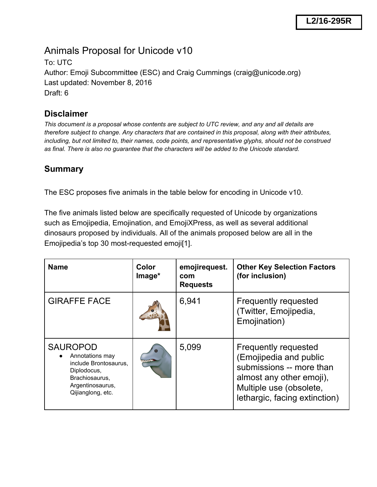# Animals Proposal for Unicode v10

To: UTC Author: Emoji Subcommittee (ESC) and Craig Cummings (craig@unicode.org) Last updated: November 8, 2016 Draft: 6

### **Disclaimer**

*This document is a proposal whose contents are subject to UTC review, and any and all details are therefore subject to change. Any characters that are contained in this proposal, along with their attributes, including, but not limited to, their names, code points, and representative glyphs, should not be construed as final. There is also no guarantee that the characters will be added to the Unicode standard.*

### **Summary**

The ESC proposes five animals in the table below for encoding in Unicode v10.

The five animals listed below are specifically requested of Unicode by organizations such as Emojipedia, Emojination, and EmojiXPress, as well as several additional dinosaurs proposed by individuals. All of the animals proposed below are all in the Emojipedia's top 30 most-requested emoji[1].

| <b>Name</b>                                                                                                                           | Color<br>Image* | emojirequest.<br>com<br><b>Requests</b> | <b>Other Key Selection Factors</b><br>(for inclusion)                                                                                                                     |
|---------------------------------------------------------------------------------------------------------------------------------------|-----------------|-----------------------------------------|---------------------------------------------------------------------------------------------------------------------------------------------------------------------------|
| <b>GIRAFFE FACE</b>                                                                                                                   |                 | 6,941                                   | <b>Frequently requested</b><br>(Twitter, Emojipedia,<br>Emojination)                                                                                                      |
| <b>SAUROPOD</b><br>Annotations may<br>include Brontosaurus,<br>Diplodocus,<br>Brachiosaurus,<br>Argentinosaurus,<br>Qijianglong, etc. |                 | 5,099                                   | <b>Frequently requested</b><br>(Emojipedia and public<br>submissions -- more than<br>almost any other emoji),<br>Multiple use (obsolete,<br>lethargic, facing extinction) |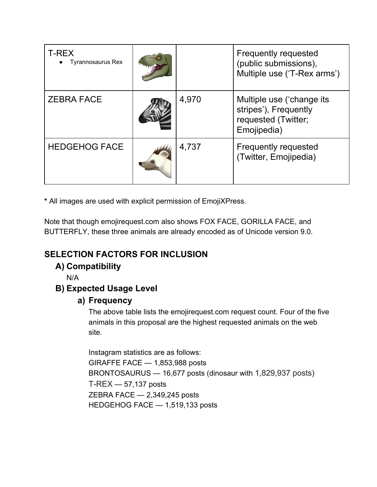| <b>T-REX</b><br>Tyrannosaurus Rex |       | <b>Frequently requested</b><br>(public submissions),<br>Multiple use ('T-Rex arms')      |
|-----------------------------------|-------|------------------------------------------------------------------------------------------|
| <b>ZEBRA FACE</b>                 | 4,970 | Multiple use ('change its<br>stripes'), Frequently<br>requested (Twitter;<br>Emojipedia) |
| <b>HEDGEHOG FACE</b>              | 4,737 | <b>Frequently requested</b><br>(Twitter, Emojipedia)                                     |

**\*** All images are used with explicit permission of EmojiXPress.

Note that though emojirequest.com also shows FOX FACE, GORILLA FACE, and BUTTERFLY, these three animals are already encoded as of Unicode version 9.0.

# **SELECTION FACTORS FOR INCLUSION**

### **A) Compatibility**

N/A

### **B) Expected Usage Level**

#### **a) Frequency**

The above table lists the emojirequest.com request count. Four of the five animals in this proposal are the highest requested animals on the web site.

Instagram statistics are as follows: GIRAFFE FACE — 1,853,988 posts BRONTOSAURUS — 16,677 posts (dinosaur with 1,829,937 posts) T-REX — 57,137 posts ZEBRA FACE — 2,349,245 posts HEDGEHOG FACE — 1,519,133 posts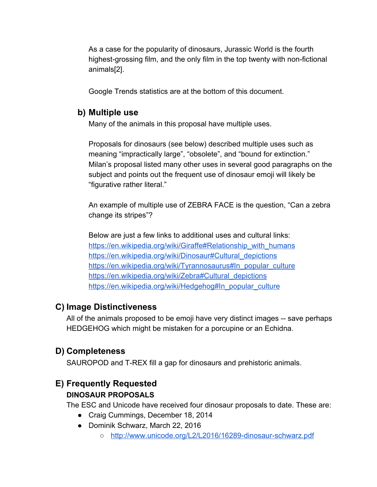As a case for the popularity of dinosaurs, Jurassic World is the fourth highest-grossing film, and the only film in the top twenty with non-fictional animals[2].

Google Trends statistics are at the bottom of this document.

### **b) Multiple use**

Many of the animals in this proposal have multiple uses.

Proposals for dinosaurs (see below) described multiple uses such as meaning "impractically large", "obsolete", and "bound for extinction." Milan's proposal listed many other uses in several good paragraphs on the subject and points out the frequent use of dinosaur emoji will likely be "figurative rather literal."

An example of multiple use of ZEBRA FACE is the question, "Can a zebra change its stripes"?

Below are just a few links to additional uses and cultural links: [https://en.wikipedia.org/wiki/Giraffe#Relationship\\_with\\_humans](https://en.wikipedia.org/wiki/Giraffe#Relationship_with_humans) [https://en.wikipedia.org/wiki/Dinosaur#Cultural\\_depictions](https://en.wikipedia.org/wiki/Dinosaur#Cultural_depictions) [https://en.wikipedia.org/wiki/Tyrannosaurus#In\\_popular\\_culture](https://en.wikipedia.org/wiki/Tyrannosaurus#In_popular_culture) [https://en.wikipedia.org/wiki/Zebra#Cultural\\_depictions](https://en.wikipedia.org/wiki/Zebra#Cultural_depictions) [https://en.wikipedia.org/wiki/Hedgehog#In\\_popular\\_culture](https://en.wikipedia.org/wiki/Hedgehog#In_popular_culture)

### **C) Image Distinctiveness**

All of the animals proposed to be emoji have very distinct images -- save perhaps HEDGEHOG which might be mistaken for a porcupine or an Echidna.

### **D) Completeness**

SAUROPOD and T-REX fill a gap for dinosaurs and prehistoric animals.

### **E) Frequently Requested**

#### **DINOSAUR PROPOSALS**

The ESC and Unicode have received four dinosaur proposals to date. These are:

- Craig Cummings, December 18, 2014
- Dominik Schwarz, March 22, 2016
	- <http://www.unicode.org/L2/L2016/16289-dinosaur-schwarz.pdf>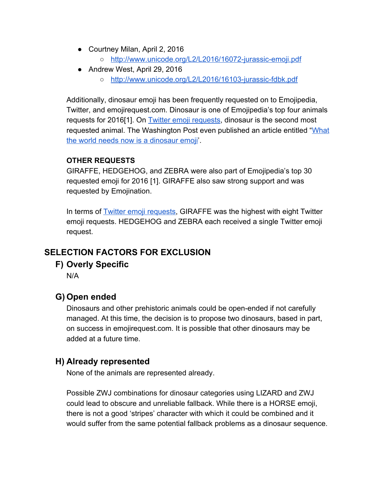- Courtney Milan, April 2, 2016 ○ <http://www.unicode.org/L2/L2016/16072-jurassic-emoji.pdf>
- Andrew West, April 29, 2016
	- <http://www.unicode.org/L2/L2016/16103-jurassic-fdbk.pdf>

Additionally, dinosaur emoji has been frequently requested on to Emojipedia, Twitter, and emojirequest.com. Dinosaur is one of Emojipedia's top four animals requests for 2016[1]. On [Twitter emoji requests,](https://twitter.com/search?q=emoji%20request&src=typd) dinosaur is the second most requested animal. The Washington Post even published an article entitled ["What](https://www.washingtonpost.com/news/the-intersect/wp/2016/06/09/what-the-world-needs-now-is-a-dinosaur-emoji/) [the world needs now is a dinosaur emoji'](https://www.washingtonpost.com/news/the-intersect/wp/2016/06/09/what-the-world-needs-now-is-a-dinosaur-emoji/).

#### **OTHER REQUESTS**

GIRAFFE, HEDGEHOG, and ZEBRA were also part of Emojipedia's top 30 requested emoji for 2016 [1]. GIRAFFE also saw strong support and was requested by Emojination.

In terms of **Twitter emoji requests**, GIRAFFE was the highest with eight Twitter emoji requests. HEDGEHOG and ZEBRA each received a single Twitter emoji request.

### **SELECTION FACTORS FOR EXCLUSION**

#### **F) Overly Specific**

N/A

### **G) Open ended**

Dinosaurs and other prehistoric animals could be open-ended if not carefully managed. At this time, the decision is to propose two dinosaurs, based in part, on success in emojirequest.com. It is possible that other dinosaurs may be added at a future time.

#### **H) Already represented**

None of the animals are represented already.

Possible ZWJ combinations for dinosaur categories using LIZARD and ZWJ could lead to obscure and unreliable fallback. While there is a HORSE emoji, there is not a good 'stripes' character with which it could be combined and it would suffer from the same potential fallback problems as a dinosaur sequence.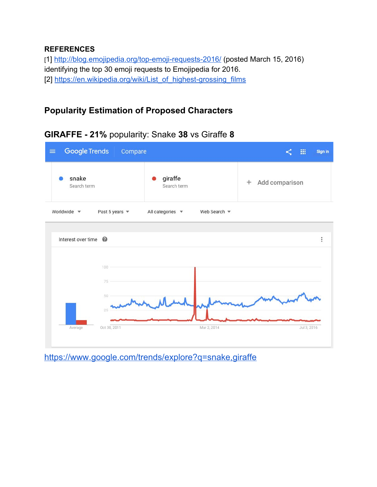#### **REFERENCES**

[1]<http://blog.emojipedia.org/top-emoji-requests-2016/>(posted March 15, 2016) identifying the top 30 emoji requests to Emojipedia for 2016. [2] [https://en.wikipedia.org/wiki/List\\_of\\_highest-grossing\\_films](https://en.wikipedia.org/wiki/List_of_highest-grossing_films)

### **Popularity Estimation of Proposed Characters**

| <b>Google Trends</b><br>$\equiv$<br>Compare | 冊<br>Sign in                                                 |                      |
|---------------------------------------------|--------------------------------------------------------------|----------------------|
| snake<br>Search term                        | giraffe<br>Search term                                       | Add comparison<br>÷. |
| Worldwide v<br>Past 5 years $\sqrt{*}$      | All categories $\sqrt{*}$<br>Web Search $\blacktriangledown$ |                      |
| Interest over time <sup>©</sup>             |                                                              | t                    |
| 100                                         |                                                              |                      |
| 75<br>50<br>25                              |                                                              |                      |
| Oct 30, 2011<br>Average                     | Mar 2, 2014                                                  | Jul 3, 2016          |

#### **GIRAFFE - 21%** popularity: Snake **38** vs Giraffe **8**

<https://www.google.com/trends/explore?q=snake,giraffe>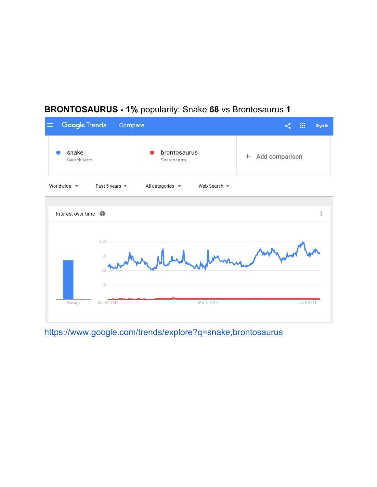## **BRONTOSAURUS - 1%** popularity: Snake **68** vs Brontosaurus **1**



<https://www.google.com/trends/explore?q=snake,brontosaurus>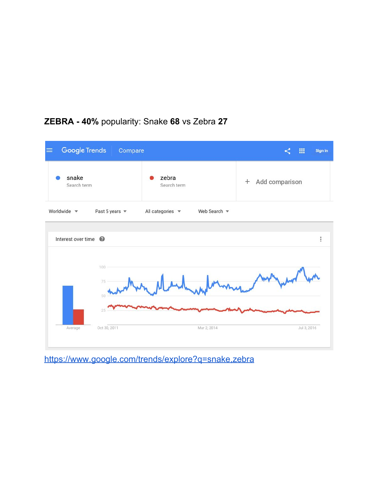

## **ZEBRA - 40%** popularity: Snake **68** vs Zebra **27**

<https://www.google.com/trends/explore?q=snake,zebra>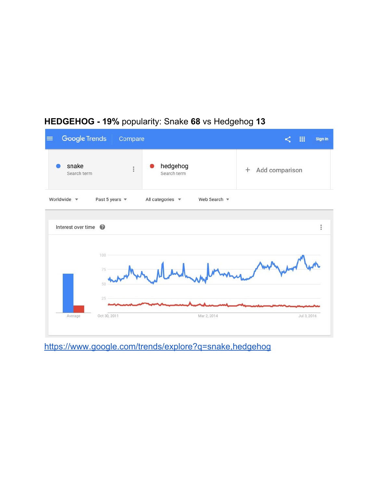

## **HEDGEHOG - 19%** popularity: Snake **68** vs Hedgehog **13**

<https://www.google.com/trends/explore?q=snake,hedgehog>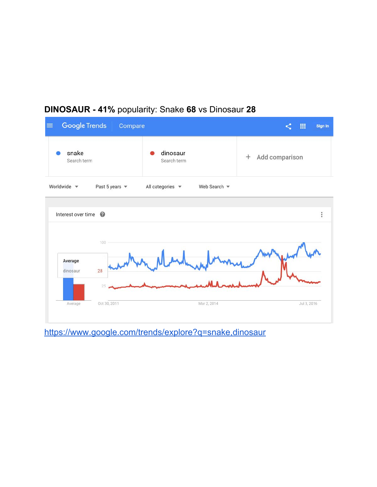## **DINOSAUR - 41%** popularity: Snake **68** vs Dinosaur **28**



<https://www.google.com/trends/explore?q=snake,dinosaur>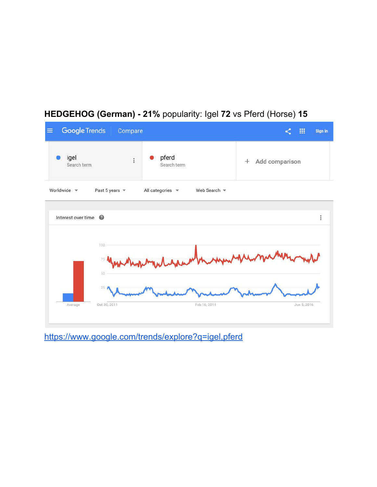

# **HEDGEHOG (German) - 21%** popularity: Igel **72** vs Pferd (Horse) **15**

<https://www.google.com/trends/explore?q=igel,pferd>